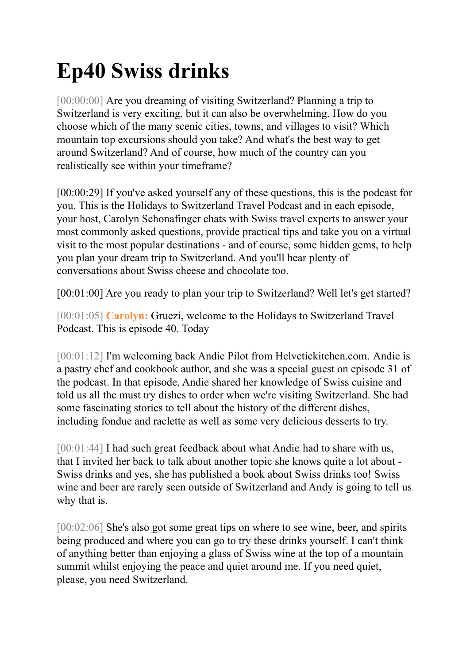## **Ep40 Swiss drinks**

[00:00:00] Are you dreaming of visiting Switzerland? Planning a trip to Switzerland is very exciting, but it can also be overwhelming. How do you choose which of the many scenic cities, towns, and villages to visit? Which mountain top excursions should you take? And what's the best way to get around Switzerland? And of course, how much of the country can you realistically see within your timeframe?

[00:00:29] If you've asked yourself any of these questions, this is the podcast for you. This is the Holidays to Switzerland Travel Podcast and in each episode, your host, Carolyn Schonafinger chats with Swiss travel experts to answer your most commonly asked questions, provide practical tips and take you on a virtual visit to the most popular destinations - and of course, some hidden gems, to help you plan your dream trip to Switzerland. And you'll hear plenty of conversations about Swiss cheese and chocolate too.

[00:01:00] Are you ready to plan your trip to Switzerland? Well let's get started?

[00:01:05] **Carolyn:** Gruezi, welcome to the Holidays to Switzerland Travel Podcast. This is episode 40. Today

[00:01:12] I'm welcoming back Andie Pilot from Helvetickitchen.com. Andie is a pastry chef and cookbook author, and she was a special guest on episode 31 of the podcast. In that episode, Andie shared her knowledge of Swiss cuisine and told us all the must try dishes to order when we're visiting Switzerland. She had some fascinating stories to tell about the history of the different dishes, including fondue and raclette as well as some very delicious desserts to try.

[00:01:44] I had such great feedback about what Andie had to share with us, that I invited her back to talk about another topic she knows quite a lot about - Swiss drinks and yes, she has published a book about Swiss drinks too! Swiss wine and beer are rarely seen outside of Switzerland and Andy is going to tell us why that is.

[00:02:06] She's also got some great tips on where to see wine, beer, and spirits being produced and where you can go to try these drinks yourself. I can't think of anything better than enjoying a glass of Swiss wine at the top of a mountain summit whilst enjoying the peace and quiet around me. If you need quiet, please, you need Switzerland.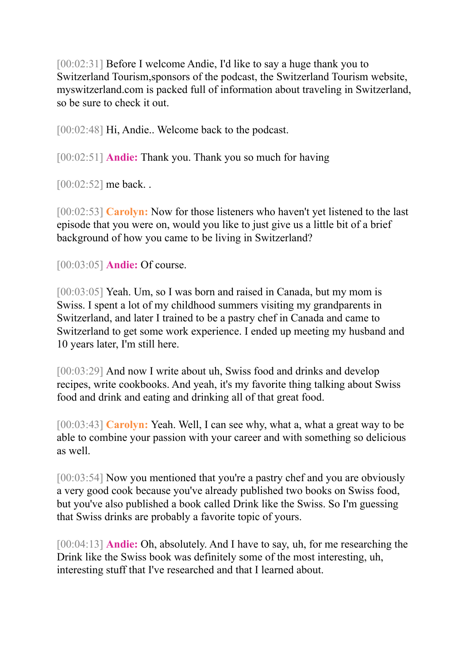[00:02:31] Before I welcome Andie, I'd like to say a huge thank you to Switzerland Tourism,sponsors of the podcast, the Switzerland Tourism website, myswitzerland.com is packed full of information about traveling in Switzerland, so be sure to check it out.

[00:02:48] Hi, Andie.. Welcome back to the podcast.

[00:02:51] **Andie:** Thank you. Thank you so much for having

[00:02:52] me back..

[00:02:53] **Carolyn:** Now for those listeners who haven't yet listened to the last episode that you were on, would you like to just give us a little bit of a brief background of how you came to be living in Switzerland?

[00:03:05] **Andie:** Of course.

[00:03:05] Yeah. Um, so I was born and raised in Canada, but my mom is Swiss. I spent a lot of my childhood summers visiting my grandparents in Switzerland, and later I trained to be a pastry chef in Canada and came to Switzerland to get some work experience. I ended up meeting my husband and 10 years later, I'm still here.

[00:03:29] And now I write about uh, Swiss food and drinks and develop recipes, write cookbooks. And yeah, it's my favorite thing talking about Swiss food and drink and eating and drinking all of that great food.

[00:03:43] **Carolyn:** Yeah. Well, I can see why, what a, what a great way to be able to combine your passion with your career and with something so delicious as well.

[00:03:54] Now you mentioned that you're a pastry chef and you are obviously a very good cook because you've already published two books on Swiss food, but you've also published a book called Drink like the Swiss. So I'm guessing that Swiss drinks are probably a favorite topic of yours.

[00:04:13] **Andie:** Oh, absolutely. And I have to say, uh, for me researching the Drink like the Swiss book was definitely some of the most interesting, uh, interesting stuff that I've researched and that I learned about.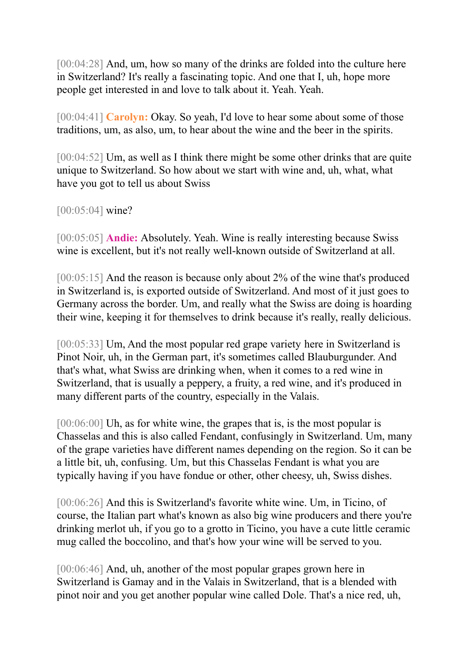[00:04:28] And, um, how so many of the drinks are folded into the culture here in Switzerland? It's really a fascinating topic. And one that I, uh, hope more people get interested in and love to talk about it. Yeah. Yeah.

[00:04:41] **Carolyn:** Okay. So yeah, I'd love to hear some about some of those traditions, um, as also, um, to hear about the wine and the beer in the spirits.

[00:04:52] Um, as well as I think there might be some other drinks that are quite unique to Switzerland. So how about we start with wine and, uh, what, what have you got to tell us about Swiss

[00:05:04] wine?

[00:05:05] **Andie:** Absolutely. Yeah. Wine is really interesting because Swiss wine is excellent, but it's not really well-known outside of Switzerland at all.

[00:05:15] And the reason is because only about 2% of the wine that's produced in Switzerland is, is exported outside of Switzerland. And most of it just goes to Germany across the border. Um, and really what the Swiss are doing is hoarding their wine, keeping it for themselves to drink because it's really, really delicious.

[00:05:33] Um, And the most popular red grape variety here in Switzerland is Pinot Noir, uh, in the German part, it's sometimes called Blauburgunder. And that's what, what Swiss are drinking when, when it comes to a red wine in Switzerland, that is usually a peppery, a fruity, a red wine, and it's produced in many different parts of the country, especially in the Valais.

[00:06:00] Uh, as for white wine, the grapes that is, is the most popular is Chasselas and this is also called Fendant, confusingly in Switzerland. Um, many of the grape varieties have different names depending on the region. So it can be a little bit, uh, confusing. Um, but this Chasselas Fendant is what you are typically having if you have fondue or other, other cheesy, uh, Swiss dishes.

[00:06:26] And this is Switzerland's favorite white wine. Um, in Ticino, of course, the Italian part what's known as also big wine producers and there you're drinking merlot uh, if you go to a grotto in Ticino, you have a cute little ceramic mug called the boccolino, and that's how your wine will be served to you.

[00:06:46] And, uh, another of the most popular grapes grown here in Switzerland is Gamay and in the Valais in Switzerland, that is a blended with pinot noir and you get another popular wine called Dole. That's a nice red, uh,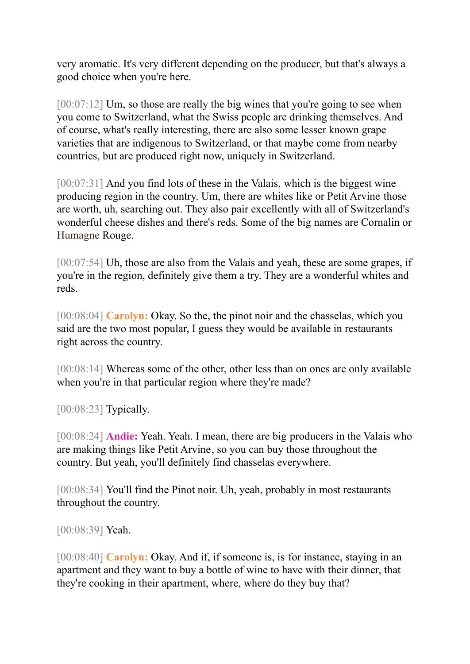very aromatic. It's very different depending on the producer, but that's always a good choice when you're here.

[00:07:12] Um, so those are really the big wines that you're going to see when you come to Switzerland, what the Swiss people are drinking themselves. And of course, what's really interesting, there are also some lesser known grape varieties that are indigenous to Switzerland, or that maybe come from nearby countries, but are produced right now, uniquely in Switzerland.

[00:07:31] And you find lots of these in the Valais, which is the biggest wine producing region in the country. Um, there are whites like or Petit Arvine those are worth, uh, searching out. They also pair excellently with all of Switzerland's wonderful cheese dishes and there's reds. Some of the big names are Cornalin or Humagne Rouge.

[00:07:54] Uh, those are also from the Valais and yeah, these are some grapes, if you're in the region, definitely give them a try. They are a wonderful whites and reds.

[00:08:04] **Carolyn:** Okay. So the, the pinot noir and the chasselas, which you said are the two most popular, I guess they would be available in restaurants right across the country.

[00:08:14] Whereas some of the other, other less than on ones are only available when you're in that particular region where they're made?

[00:08:23] **Typically.** 

[00:08:24] **Andie:** Yeah. Yeah. I mean, there are big producers in the Valais who are making things like Petit Arvine, so you can buy those throughout the country. But yeah, you'll definitely find chasselas everywhere.

[00:08:34] You'll find the Pinot noir. Uh, yeah, probably in most restaurants throughout the country.

[00:08:39] Yeah.

[00:08:40] **Carolyn:** Okay. And if, if someone is, is for instance, staying in an apartment and they want to buy a bottle of wine to have with their dinner, that they're cooking in their apartment, where, where do they buy that?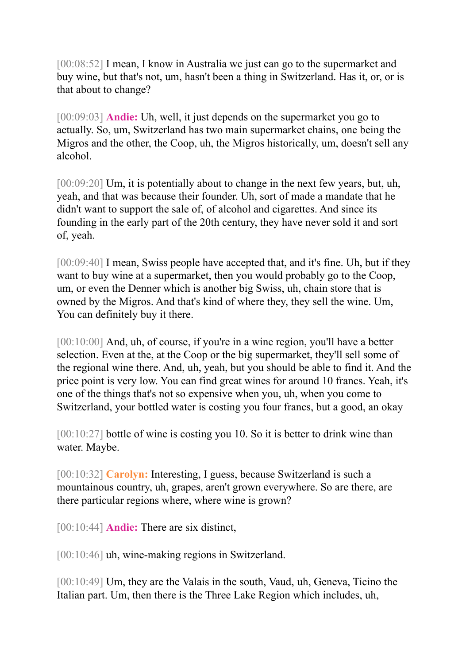[00:08:52] I mean, I know in Australia we just can go to the supermarket and buy wine, but that's not, um, hasn't been a thing in Switzerland. Has it, or, or is that about to change?

[00:09:03] **Andie:** Uh, well, it just depends on the supermarket you go to actually. So, um, Switzerland has two main supermarket chains, one being the Migros and the other, the Coop, uh, the Migros historically, um, doesn't sell any alcohol.

[00:09:20] Um, it is potentially about to change in the next few years, but, uh, yeah, and that was because their founder. Uh, sort of made a mandate that he didn't want to support the sale of, of alcohol and cigarettes. And since its founding in the early part of the 20th century, they have never sold it and sort of, yeah.

[00:09:40] I mean, Swiss people have accepted that, and it's fine. Uh, but if they want to buy wine at a supermarket, then you would probably go to the Coop, um, or even the Denner which is another big Swiss, uh, chain store that is owned by the Migros. And that's kind of where they, they sell the wine. Um, You can definitely buy it there.

[00:10:00] And, uh, of course, if you're in a wine region, you'll have a better selection. Even at the, at the Coop or the big supermarket, they'll sell some of the regional wine there. And, uh, yeah, but you should be able to find it. And the price point is very low. You can find great wines for around 10 francs. Yeah, it's one of the things that's not so expensive when you, uh, when you come to Switzerland, your bottled water is costing you four francs, but a good, an okay

[00:10:27] bottle of wine is costing you 10. So it is better to drink wine than water. Maybe.

[00:10:32] **Carolyn:** Interesting, I guess, because Switzerland is such a mountainous country, uh, grapes, aren't grown everywhere. So are there, are there particular regions where, where wine is grown?

[00:10:44] **Andie:** There are six distinct,

[00:10:46] uh, wine-making regions in Switzerland.

[00:10:49] Um, they are the Valais in the south, Vaud, uh, Geneva, Ticino the Italian part. Um, then there is the Three Lake Region which includes, uh,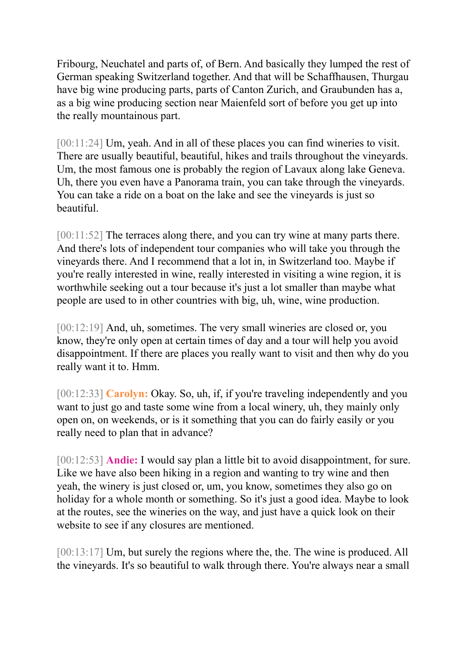Fribourg, Neuchatel and parts of, of Bern. And basically they lumped the rest of German speaking Switzerland together. And that will be Schaffhausen, Thurgau have big wine producing parts, parts of Canton Zurich, and Graubunden has a, as a big wine producing section near Maienfeld sort of before you get up into the really mountainous part.

[00:11:24] Um, yeah. And in all of these places you can find wineries to visit. There are usually beautiful, beautiful, hikes and trails throughout the vineyards. Um, the most famous one is probably the region of Lavaux along lake Geneva. Uh, there you even have a Panorama train, you can take through the vineyards. You can take a ride on a boat on the lake and see the vineyards is just so beautiful.

[00:11:52] The terraces along there, and you can try wine at many parts there. And there's lots of independent tour companies who will take you through the vineyards there. And I recommend that a lot in, in Switzerland too. Maybe if you're really interested in wine, really interested in visiting a wine region, it is worthwhile seeking out a tour because it's just a lot smaller than maybe what people are used to in other countries with big, uh, wine, wine production.

[00:12:19] And, uh, sometimes. The very small wineries are closed or, you know, they're only open at certain times of day and a tour will help you avoid disappointment. If there are places you really want to visit and then why do you really want it to. Hmm.

[00:12:33] **Carolyn:** Okay. So, uh, if, if you're traveling independently and you want to just go and taste some wine from a local winery, uh, they mainly only open on, on weekends, or is it something that you can do fairly easily or you really need to plan that in advance?

[00:12:53] **Andie:** I would say plan a little bit to avoid disappointment, for sure. Like we have also been hiking in a region and wanting to try wine and then yeah, the winery is just closed or, um, you know, sometimes they also go on holiday for a whole month or something. So it's just a good idea. Maybe to look at the routes, see the wineries on the way, and just have a quick look on their website to see if any closures are mentioned.

[00:13:17] Um, but surely the regions where the, the. The wine is produced. All the vineyards. It's so beautiful to walk through there. You're always near a small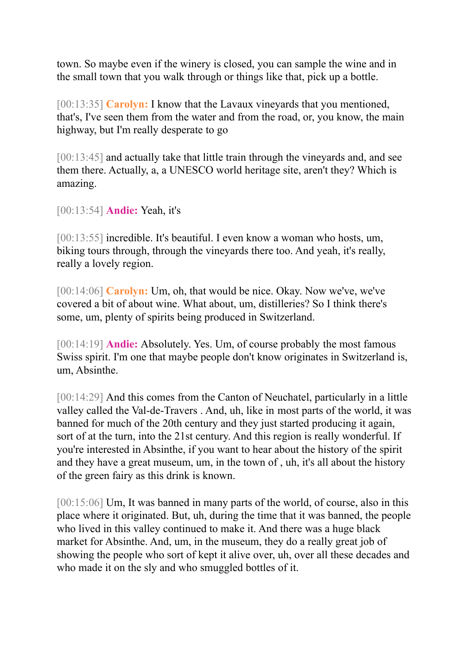town. So maybe even if the winery is closed, you can sample the wine and in the small town that you walk through or things like that, pick up a bottle.

[00:13:35] **Carolyn:** I know that the Lavaux vineyards that you mentioned, that's, I've seen them from the water and from the road, or, you know, the main highway, but I'm really desperate to go

[00:13:45] and actually take that little train through the vineyards and, and see them there. Actually, a, a UNESCO world heritage site, aren't they? Which is amazing.

[00:13:54] **Andie:** Yeah, it's

[00:13:55] incredible. It's beautiful. I even know a woman who hosts, um, biking tours through, through the vineyards there too. And yeah, it's really, really a lovely region.

[00:14:06] **Carolyn:** Um, oh, that would be nice. Okay. Now we've, we've covered a bit of about wine. What about, um, distilleries? So I think there's some, um, plenty of spirits being produced in Switzerland.

[00:14:19] **Andie:** Absolutely. Yes. Um, of course probably the most famous Swiss spirit. I'm one that maybe people don't know originates in Switzerland is, um, Absinthe.

[00:14:29] And this comes from the Canton of Neuchatel, particularly in a little valley called the Val-de-Travers . And, uh, like in most parts of the world, it was banned for much of the 20th century and they just started producing it again, sort of at the turn, into the 21st century. And this region is really wonderful. If you're interested in Absinthe, if you want to hear about the history of the spirit and they have a great museum, um, in the town of , uh, it's all about the history of the green fairy as this drink is known.

[00:15:06] Um, It was banned in many parts of the world, of course, also in this place where it originated. But, uh, during the time that it was banned, the people who lived in this valley continued to make it. And there was a huge black market for Absinthe. And, um, in the museum, they do a really great job of showing the people who sort of kept it alive over, uh, over all these decades and who made it on the sly and who smuggled bottles of it.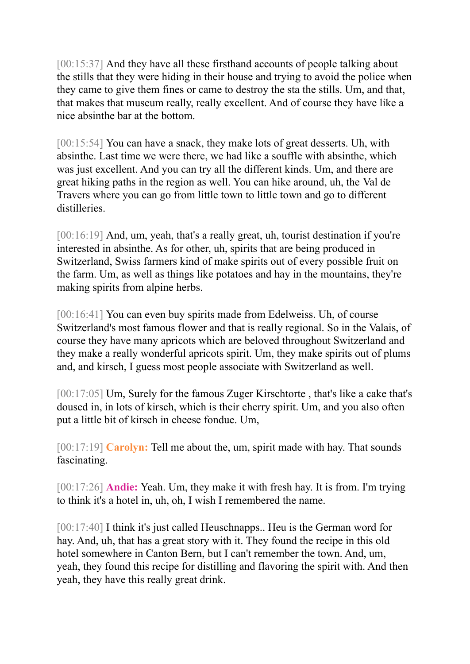[00:15:37] And they have all these firsthand accounts of people talking about the stills that they were hiding in their house and trying to avoid the police when they came to give them fines or came to destroy the sta the stills. Um, and that, that makes that museum really, really excellent. And of course they have like a nice absinthe bar at the bottom.

[00:15:54] You can have a snack, they make lots of great desserts. Uh, with absinthe. Last time we were there, we had like a souffle with absinthe, which was just excellent. And you can try all the different kinds. Um, and there are great hiking paths in the region as well. You can hike around, uh, the Val de Travers where you can go from little town to little town and go to different distilleries.

[00:16:19] And, um, yeah, that's a really great, uh, tourist destination if you're interested in absinthe. As for other, uh, spirits that are being produced in Switzerland, Swiss farmers kind of make spirits out of every possible fruit on the farm. Um, as well as things like potatoes and hay in the mountains, they're making spirits from alpine herbs.

[00:16:41] You can even buy spirits made from Edelweiss. Uh, of course Switzerland's most famous flower and that is really regional. So in the Valais, of course they have many apricots which are beloved throughout Switzerland and they make a really wonderful apricots spirit. Um, they make spirits out of plums and, and kirsch, I guess most people associate with Switzerland as well.

[00:17:05] Um, Surely for the famous Zuger Kirschtorte , that's like a cake that's doused in, in lots of kirsch, which is their cherry spirit. Um, and you also often put a little bit of kirsch in cheese fondue. Um,

[00:17:19] **Carolyn:** Tell me about the, um, spirit made with hay. That sounds fascinating.

[00:17:26] **Andie:** Yeah. Um, they make it with fresh hay. It is from. I'm trying to think it's a hotel in, uh, oh, I wish I remembered the name.

[00:17:40] I think it's just called Heuschnapps.. Heu is the German word for hay. And, uh, that has a great story with it. They found the recipe in this old hotel somewhere in Canton Bern, but I can't remember the town. And, um, yeah, they found this recipe for distilling and flavoring the spirit with. And then yeah, they have this really great drink.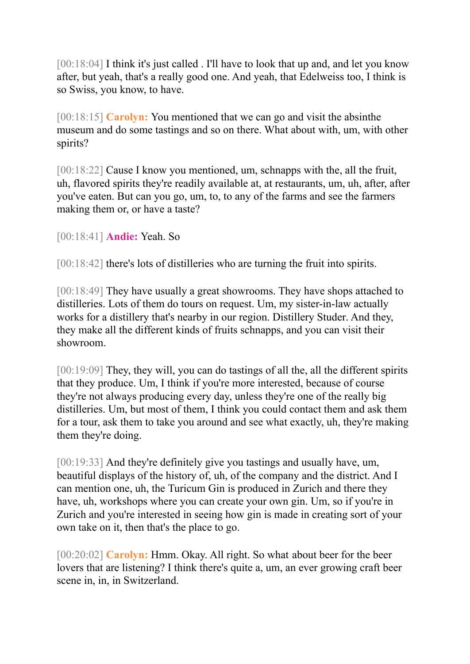[00:18:04] I think it's just called . I'll have to look that up and, and let you know after, but yeah, that's a really good one. And yeah, that Edelweiss too, I think is so Swiss, you know, to have.

[00:18:15] **Carolyn:** You mentioned that we can go and visit the absinthe museum and do some tastings and so on there. What about with, um, with other spirits?

[00:18:22] Cause I know you mentioned, um, schnapps with the, all the fruit, uh, flavored spirits they're readily available at, at restaurants, um, uh, after, after you've eaten. But can you go, um, to, to any of the farms and see the farmers making them or, or have a taste?

[00:18:41] **Andie:** Yeah. So

[00:18:42] there's lots of distilleries who are turning the fruit into spirits.

[00:18:49] They have usually a great showrooms. They have shops attached to distilleries. Lots of them do tours on request. Um, my sister-in-law actually works for a distillery that's nearby in our region. Distillery Studer. And they, they make all the different kinds of fruits schnapps, and you can visit their showroom.

[00:19:09] They, they will, you can do tastings of all the, all the different spirits that they produce. Um, I think if you're more interested, because of course they're not always producing every day, unless they're one of the really big distilleries. Um, but most of them, I think you could contact them and ask them for a tour, ask them to take you around and see what exactly, uh, they're making them they're doing.

[00:19:33] And they're definitely give you tastings and usually have, um, beautiful displays of the history of, uh, of the company and the district. And I can mention one, uh, the Turicum Gin is produced in Zurich and there they have, uh, workshops where you can create your own gin. Um, so if you're in Zurich and you're interested in seeing how gin is made in creating sort of your own take on it, then that's the place to go.

[00:20:02] **Carolyn:** Hmm. Okay. All right. So what about beer for the beer lovers that are listening? I think there's quite a, um, an ever growing craft beer scene in, in, in Switzerland.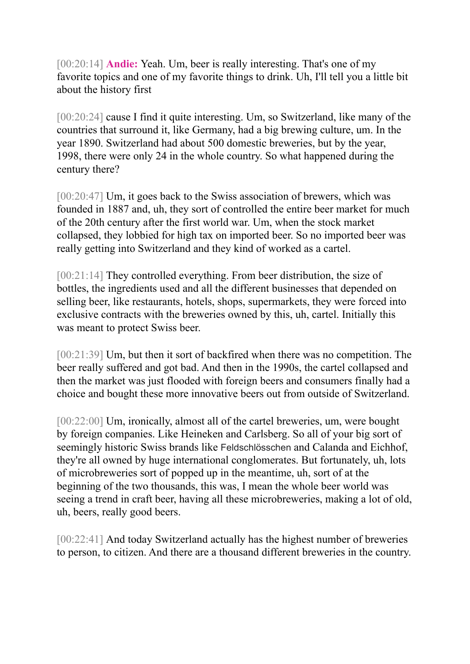[00:20:14] **Andie:** Yeah. Um, beer is really interesting. That's one of my favorite topics and one of my favorite things to drink. Uh, I'll tell you a little bit about the history first

[00:20:24] cause I find it quite interesting. Um, so Switzerland, like many of the countries that surround it, like Germany, had a big brewing culture, um. In the year 1890. Switzerland had about 500 domestic breweries, but by the year, 1998, there were only 24 in the whole country. So what happened during the century there?

[00:20:47] Um, it goes back to the Swiss association of brewers, which was founded in 1887 and, uh, they sort of controlled the entire beer market for much of the 20th century after the first world war. Um, when the stock market collapsed, they lobbied for high tax on imported beer. So no imported beer was really getting into Switzerland and they kind of worked as a cartel.

[00:21:14] They controlled everything. From beer distribution, the size of bottles, the ingredients used and all the different businesses that depended on selling beer, like restaurants, hotels, shops, supermarkets, they were forced into exclusive contracts with the breweries owned by this, uh, cartel. Initially this was meant to protect Swiss beer.

[00:21:39] Um, but then it sort of backfired when there was no competition. The beer really suffered and got bad. And then in the 1990s, the cartel collapsed and then the market was just flooded with foreign beers and consumers finally had a choice and bought these more innovative beers out from outside of Switzerland.

[00:22:00] Um, ironically, almost all of the cartel breweries, um, were bought by foreign companies. Like Heineken and Carlsberg. So all of your big sort of seemingly historic Swiss brands like Feldschlösschen and Calanda and Eichhof, they're all owned by huge international conglomerates. But fortunately, uh, lots of microbreweries sort of popped up in the meantime, uh, sort of at the beginning of the two thousands, this was, I mean the whole beer world was seeing a trend in craft beer, having all these microbreweries, making a lot of old, uh, beers, really good beers.

[00:22:41] And today Switzerland actually has the highest number of breweries to person, to citizen. And there are a thousand different breweries in the country.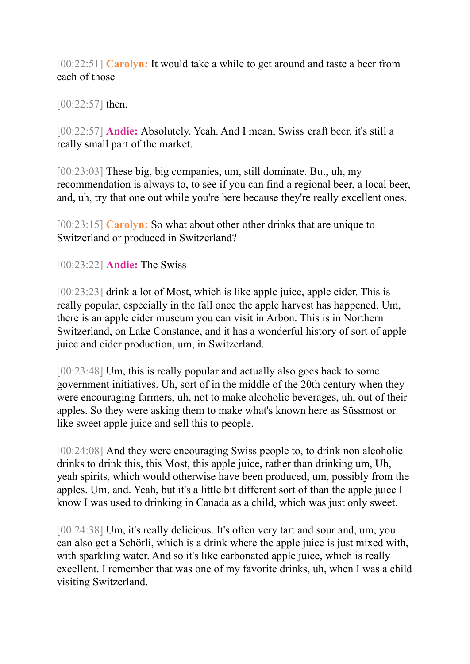[00:22:51] **Carolyn:** It would take a while to get around and taste a beer from each of those

[00:22:57] then.

[00:22:57] **Andie:** Absolutely. Yeah. And I mean, Swiss craft beer, it's still a really small part of the market.

[00:23:03] These big, big companies, um, still dominate. But, uh, my recommendation is always to, to see if you can find a regional beer, a local beer, and, uh, try that one out while you're here because they're really excellent ones.

[00:23:15] **Carolyn:** So what about other other drinks that are unique to Switzerland or produced in Switzerland?

[00:23:22] **Andie:** The Swiss

[00:23:23] drink a lot of Most, which is like apple juice, apple cider. This is really popular, especially in the fall once the apple harvest has happened. Um, there is an apple cider museum you can visit in Arbon. This is in Northern Switzerland, on Lake Constance, and it has a wonderful history of sort of apple juice and cider production, um, in Switzerland.

[00:23:48] Um, this is really popular and actually also goes back to some government initiatives. Uh, sort of in the middle of the 20th century when they were encouraging farmers, uh, not to make alcoholic beverages, uh, out of their apples. So they were asking them to make what's known here as Süssmost or like sweet apple juice and sell this to people.

[00:24:08] And they were encouraging Swiss people to, to drink non alcoholic drinks to drink this, this Most, this apple juice, rather than drinking um, Uh, yeah spirits, which would otherwise have been produced, um, possibly from the apples. Um, and. Yeah, but it's a little bit different sort of than the apple juice I know I was used to drinking in Canada as a child, which was just only sweet.

[00:24:38] Um, it's really delicious. It's often very tart and sour and, um, you can also get a Schörli, which is a drink where the apple juice is just mixed with, with sparkling water. And so it's like carbonated apple juice, which is really excellent. I remember that was one of my favorite drinks, uh, when I was a child visiting Switzerland.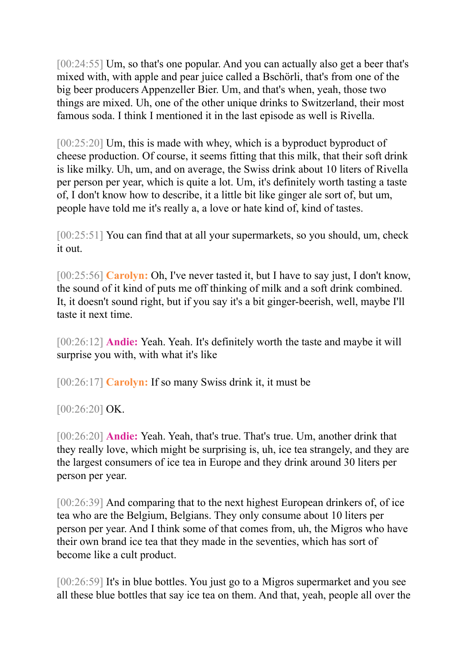[00:24:55] Um, so that's one popular. And you can actually also get a beer that's mixed with, with apple and pear juice called a Bschörli, that's from one of the big beer producers Appenzeller Bier. Um, and that's when, yeah, those two things are mixed. Uh, one of the other unique drinks to Switzerland, their most famous soda. I think I mentioned it in the last episode as well is Rivella.

[00:25:20] Um, this is made with whey, which is a byproduct byproduct of cheese production. Of course, it seems fitting that this milk, that their soft drink is like milky. Uh, um, and on average, the Swiss drink about 10 liters of Rivella per person per year, which is quite a lot. Um, it's definitely worth tasting a taste of, I don't know how to describe, it a little bit like ginger ale sort of, but um, people have told me it's really a, a love or hate kind of, kind of tastes.

[00:25:51] You can find that at all your supermarkets, so you should, um, check it out.

[00:25:56] **Carolyn:** Oh, I've never tasted it, but I have to say just, I don't know, the sound of it kind of puts me off thinking of milk and a soft drink combined. It, it doesn't sound right, but if you say it's a bit ginger-beerish, well, maybe I'll taste it next time.

[00:26:12] **Andie:** Yeah. Yeah. It's definitely worth the taste and maybe it will surprise you with, with what it's like

[00:26:17] **Carolyn:** If so many Swiss drink it, it must be

[00:26:20] OK.

[00:26:20] **Andie:** Yeah. Yeah, that's true. That's true. Um, another drink that they really love, which might be surprising is, uh, ice tea strangely, and they are the largest consumers of ice tea in Europe and they drink around 30 liters per person per year.

[00:26:39] And comparing that to the next highest European drinkers of, of ice tea who are the Belgium, Belgians. They only consume about 10 liters per person per year. And I think some of that comes from, uh, the Migros who have their own brand ice tea that they made in the seventies, which has sort of become like a cult product.

[00:26:59] It's in blue bottles. You just go to a Migros supermarket and you see all these blue bottles that say ice tea on them. And that, yeah, people all over the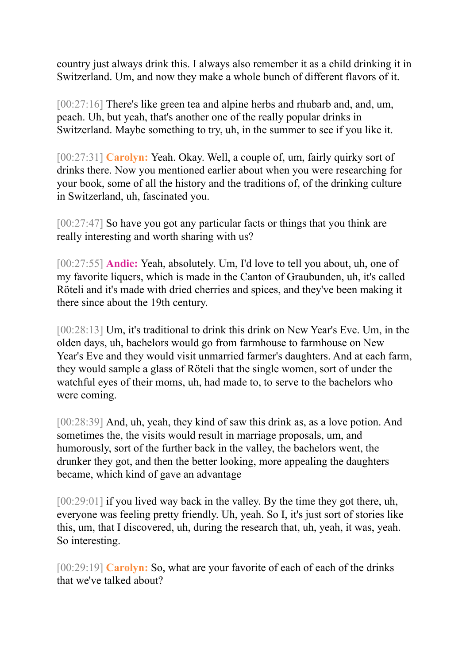country just always drink this. I always also remember it as a child drinking it in Switzerland. Um, and now they make a whole bunch of different flavors of it.

[00:27:16] There's like green tea and alpine herbs and rhubarb and, and, um, peach. Uh, but yeah, that's another one of the really popular drinks in Switzerland. Maybe something to try, uh, in the summer to see if you like it.

[00:27:31] **Carolyn:** Yeah. Okay. Well, a couple of, um, fairly quirky sort of drinks there. Now you mentioned earlier about when you were researching for your book, some of all the history and the traditions of, of the drinking culture in Switzerland, uh, fascinated you.

[00:27:47] So have you got any particular facts or things that you think are really interesting and worth sharing with us?

[00:27:55] **Andie:** Yeah, absolutely. Um, I'd love to tell you about, uh, one of my favorite liquers, which is made in the Canton of Graubunden, uh, it's called Röteli and it's made with dried cherries and spices, and they've been making it there since about the 19th century.

[00:28:13] Um, it's traditional to drink this drink on New Year's Eve. Um, in the olden days, uh, bachelors would go from farmhouse to farmhouse on New Year's Eve and they would visit unmarried farmer's daughters. And at each farm, they would sample a glass of Röteli that the single women, sort of under the watchful eyes of their moms, uh, had made to, to serve to the bachelors who were coming.

[00:28:39] And, uh, yeah, they kind of saw this drink as, as a love potion. And sometimes the, the visits would result in marriage proposals, um, and humorously, sort of the further back in the valley, the bachelors went, the drunker they got, and then the better looking, more appealing the daughters became, which kind of gave an advantage

[00:29:01] if you lived way back in the valley. By the time they got there, uh, everyone was feeling pretty friendly. Uh, yeah. So I, it's just sort of stories like this, um, that I discovered, uh, during the research that, uh, yeah, it was, yeah. So interesting.

[00:29:19] **Carolyn:** So, what are your favorite of each of each of the drinks that we've talked about?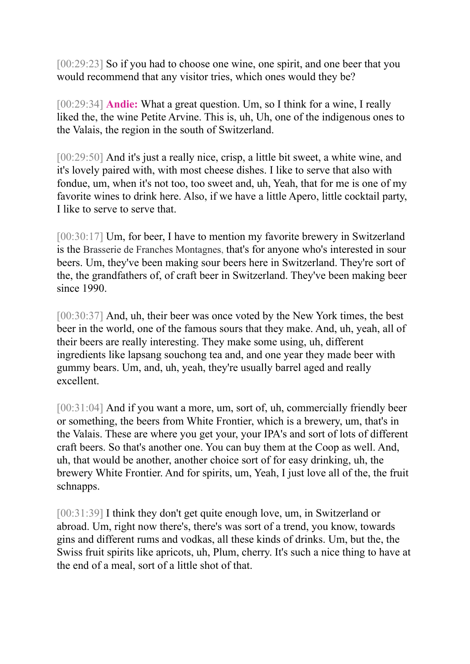[00:29:23] So if you had to choose one wine, one spirit, and one beer that you would recommend that any visitor tries, which ones would they be?

[00:29:34] **Andie:** What a great question. Um, so I think for a wine, I really liked the, the wine Petite Arvine. This is, uh, Uh, one of the indigenous ones to the Valais, the region in the south of Switzerland.

[00:29:50] And it's just a really nice, crisp, a little bit sweet, a white wine, and it's lovely paired with, with most cheese dishes. I like to serve that also with fondue, um, when it's not too, too sweet and, uh, Yeah, that for me is one of my favorite wines to drink here. Also, if we have a little Apero, little cocktail party, I like to serve to serve that.

[00:30:17] Um, for beer, I have to mention my favorite brewery in Switzerland is the Brasserie de Franches Montagnes, that's for anyone who's interested in sour beers. Um, they've been making sour beers here in Switzerland. They're sort of the, the grandfathers of, of craft beer in Switzerland. They've been making beer since 1990.

[00:30:37] And, uh, their beer was once voted by the New York times, the best beer in the world, one of the famous sours that they make. And, uh, yeah, all of their beers are really interesting. They make some using, uh, different ingredients like lapsang souchong tea and, and one year they made beer with gummy bears. Um, and, uh, yeah, they're usually barrel aged and really excellent.

[00:31:04] And if you want a more, um, sort of, uh, commercially friendly beer or something, the beers from White Frontier, which is a brewery, um, that's in the Valais. These are where you get your, your IPA's and sort of lots of different craft beers. So that's another one. You can buy them at the Coop as well. And, uh, that would be another, another choice sort of for easy drinking, uh, the brewery White Frontier. And for spirits, um, Yeah, I just love all of the, the fruit schnapps.

[00:31:39] I think they don't get quite enough love, um, in Switzerland or abroad. Um, right now there's, there's was sort of a trend, you know, towards gins and different rums and vodkas, all these kinds of drinks. Um, but the, the Swiss fruit spirits like apricots, uh, Plum, cherry. It's such a nice thing to have at the end of a meal, sort of a little shot of that.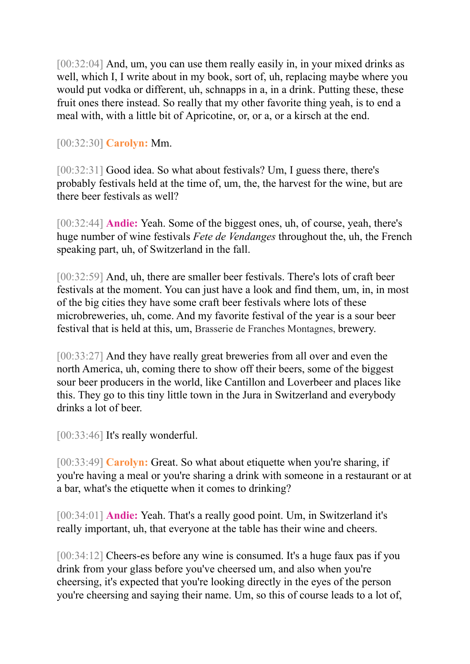[00:32:04] And, um, you can use them really easily in, in your mixed drinks as well, which I, I write about in my book, sort of, uh, replacing maybe where you would put vodka or different, uh, schnapps in a, in a drink. Putting these, these fruit ones there instead. So really that my other favorite thing yeah, is to end a meal with, with a little bit of Apricotine, or, or a, or a kirsch at the end.

[00:32:30] **Carolyn:** Mm.

[00:32:31] Good idea. So what about festivals? Um, I guess there, there's probably festivals held at the time of, um, the, the harvest for the wine, but are there beer festivals as well?

[00:32:44] **Andie:** Yeah. Some of the biggest ones, uh, of course, yeah, there's huge number of wine festivals *Fete de Vendanges* throughout the, uh, the French speaking part, uh, of Switzerland in the fall.

[00:32:59] And, uh, there are smaller beer festivals. There's lots of craft beer festivals at the moment. You can just have a look and find them, um, in, in most of the big cities they have some craft beer festivals where lots of these microbreweries, uh, come. And my favorite festival of the year is a sour beer festival that is held at this, um, Brasserie de Franches Montagnes, brewery.

[00:33:27] And they have really great breweries from all over and even the north America, uh, coming there to show off their beers, some of the biggest sour beer producers in the world, like Cantillon and Loverbeer and places like this. They go to this tiny little town in the Jura in Switzerland and everybody drinks a lot of beer.

[00:33:46] It's really wonderful.

[00:33:49] **Carolyn:** Great. So what about etiquette when you're sharing, if you're having a meal or you're sharing a drink with someone in a restaurant or at a bar, what's the etiquette when it comes to drinking?

[00:34:01] **Andie:** Yeah. That's a really good point. Um, in Switzerland it's really important, uh, that everyone at the table has their wine and cheers.

[00:34:12] Cheers-es before any wine is consumed. It's a huge faux pas if you drink from your glass before you've cheersed um, and also when you're cheersing, it's expected that you're looking directly in the eyes of the person you're cheersing and saying their name. Um, so this of course leads to a lot of,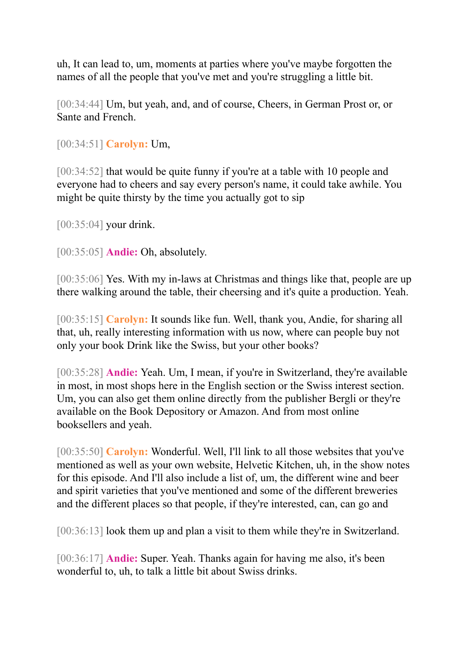uh, It can lead to, um, moments at parties where you've maybe forgotten the names of all the people that you've met and you're struggling a little bit.

[00:34:44] Um, but yeah, and, and of course, Cheers, in German Prost or, or Sante and French.

[00:34:51] **Carolyn:** Um,

[00:34:52] that would be quite funny if you're at a table with 10 people and everyone had to cheers and say every person's name, it could take awhile. You might be quite thirsty by the time you actually got to sip

[00:35:04] your drink.

[00:35:05] **Andie:** Oh, absolutely.

[00:35:06] Yes. With my in-laws at Christmas and things like that, people are up there walking around the table, their cheersing and it's quite a production. Yeah.

[00:35:15] **Carolyn:** It sounds like fun. Well, thank you, Andie, for sharing all that, uh, really interesting information with us now, where can people buy not only your book Drink like the Swiss, but your other books?

[00:35:28] **Andie:** Yeah. Um, I mean, if you're in Switzerland, they're available in most, in most shops here in the English section or the Swiss interest section. Um, you can also get them online directly from the publisher Bergli or they're available on the Book Depository or Amazon. And from most online booksellers and yeah.

[00:35:50] **Carolyn:** Wonderful. Well, I'll link to all those websites that you've mentioned as well as your own website, Helvetic Kitchen, uh, in the show notes for this episode. And I'll also include a list of, um, the different wine and beer and spirit varieties that you've mentioned and some of the different breweries and the different places so that people, if they're interested, can, can go and

[00:36:13] look them up and plan a visit to them while they're in Switzerland.

[00:36:17] **Andie:** Super. Yeah. Thanks again for having me also, it's been wonderful to, uh, to talk a little bit about Swiss drinks.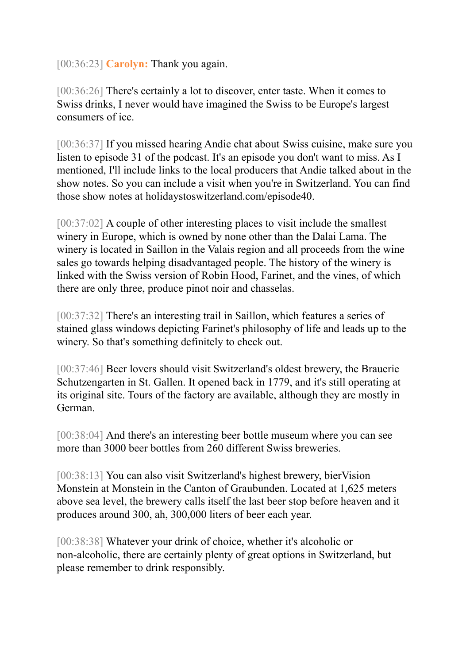[00:36:23] **Carolyn:** Thank you again.

[00:36:26] There's certainly a lot to discover, enter taste. When it comes to Swiss drinks, I never would have imagined the Swiss to be Europe's largest consumers of ice.

[00:36:37] If you missed hearing Andie chat about Swiss cuisine, make sure you listen to episode 31 of the podcast. It's an episode you don't want to miss. As I mentioned, I'll include links to the local producers that Andie talked about in the show notes. So you can include a visit when you're in Switzerland. You can find those show notes at holidaystoswitzerland.com/episode40.

[00:37:02] A couple of other interesting places to visit include the smallest winery in Europe, which is owned by none other than the Dalai Lama. The winery is located in Saillon in the Valais region and all proceeds from the wine sales go towards helping disadvantaged people. The history of the winery is linked with the Swiss version of Robin Hood, Farinet, and the vines, of which there are only three, produce pinot noir and chasselas.

[00:37:32] There's an interesting trail in Saillon, which features a series of stained glass windows depicting Farinet's philosophy of life and leads up to the winery. So that's something definitely to check out.

[00:37:46] Beer lovers should visit Switzerland's oldest brewery, the Brauerie Schutzengarten in St. Gallen. It opened back in 1779, and it's still operating at its original site. Tours of the factory are available, although they are mostly in German.

[00:38:04] And there's an interesting beer bottle museum where you can see more than 3000 beer bottles from 260 different Swiss breweries.

[00:38:13] You can also visit Switzerland's highest brewery, bierVision Monstein at Monstein in the Canton of Graubunden. Located at 1,625 meters above sea level, the brewery calls itself the last beer stop before heaven and it produces around 300, ah, 300,000 liters of beer each year.

[00:38:38] Whatever your drink of choice, whether it's alcoholic or non-alcoholic, there are certainly plenty of great options in Switzerland, but please remember to drink responsibly.